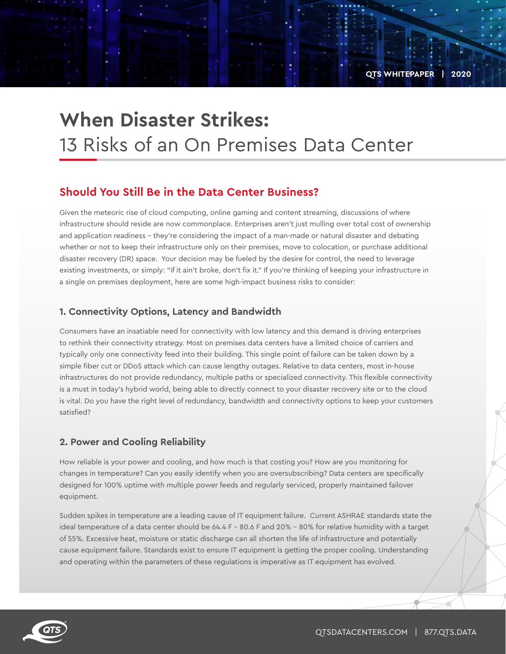**QTS WHITEPAPER | 2020**

# **When Disaster Strikes:**  13 Risks of an On Premises Data Center

# **Should You Still Be in the Data Center Business?**

Given the meteoric rise of cloud computing, online gaming and content streaming, discussions of where infrastructure should reside are now commonplace. Enterprises aren't just mulling over total cost of ownership and application readiness – they're considering the impact of a man-made or natural disaster and debating whether or not to keep their infrastructure only on their premises, move to colocation, or purchase additional disaster recovery (DR) space. Your decision may be fueled by the desire for control, the need to leverage existing investments, or simply: "if it ain't broke, don't fix it." If you're thinking of keeping your infrastructure in a single on premises deployment, here are some high-impact business risks to consider:

#### **1. Connectivity Options, Latency and Bandwidth**

Consumers have an insatiable need for connectivity with low latency and this demand is driving enterprises to rethink their connectivity strategy. Most on premises data centers have a limited choice of carriers and typically only one connectivity feed into their building. This single point of failure can be taken down by a simple fiber cut or DDoS attack which can cause lengthy outages. Relative to data centers, most in-house infrastructures do not provide redundancy, multiple paths or specialized connectivity. This flexible connectivity is a must in today's hybrid world, being able to directly connect to your disaster recovery site or to the cloud is vital. Do you have the right level of redundancy, bandwidth and connectivity options to keep your customers satisfied?

#### **2. Power and Cooling Reliability**

How reliable is your power and cooling, and how much is that costing you? How are you monitoring for changes in temperature? Can you easily identify when you are oversubscribing? Data centers are specifically designed for 100% uptime with multiple power feeds and regularly serviced, properly maintained failover equipment.

Sudden spikes in temperature are a leading cause of IT equipment failure. Current ASHRAE standards state the ideal temperature of a data center should be 64.4 F – 80.6 F and 20% - 80% for relative humidity with a target of 55%. Excessive heat, moisture or static discharge can all shorten the life of infrastructure and potentially cause equipment failure. Standards exist to ensure IT equipment is getting the proper cooling. Understanding and operating within the parameters of these regulations is imperative as IT equipment has evolved.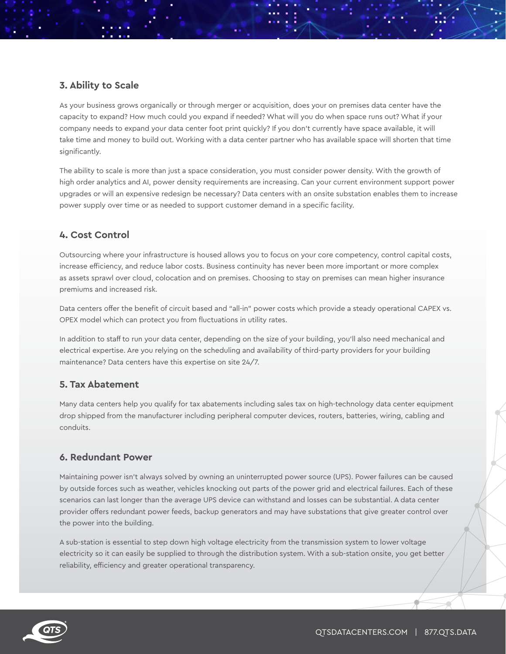## **3. Ability to Scale**

As your business grows organically or through merger or acquisition, does your on premises data center have the capacity to expand? How much could you expand if needed? What will you do when space runs out? What if your company needs to expand your data center foot print quickly? If you don't currently have space available, it will take time and money to build out. Working with a data center partner who has available space will shorten that time significantly.

The ability to scale is more than just a space consideration, you must consider power density. With the growth of high order analytics and AI, power density requirements are increasing. Can your current environment support power upgrades or will an expensive redesign be necessary? Data centers with an onsite substation enables them to increase power supply over time or as needed to support customer demand in a specific facility.

### **4. Cost Control**

Outsourcing where your infrastructure is housed allows you to focus on your core competency, control capital costs, increase efficiency, and reduce labor costs. Business continuity has never been more important or more complex as assets sprawl over cloud, colocation and on premises. Choosing to stay on premises can mean higher insurance premiums and increased risk.

Data centers offer the benefit of circuit based and "all-in" power costs which provide a steady operational CAPEX vs. OPEX model which can protect you from fluctuations in utility rates.

In addition to staff to run your data center, depending on the size of your building, you'll also need mechanical and electrical expertise. Are you relying on the scheduling and availability of third-party providers for your building maintenance? Data centers have this expertise on site 24/7.

### **5. Tax Abatement**

Many data centers help you qualify for tax abatements including sales tax on high-technology data center equipment drop shipped from the manufacturer including peripheral computer devices, routers, batteries, wiring, cabling and conduits.

# **6. Redundant Power**

Maintaining power isn't always solved by owning an uninterrupted power source (UPS). Power failures can be caused by outside forces such as weather, vehicles knocking out parts of the power grid and electrical failures. Each of these scenarios can last longer than the average UPS device can withstand and losses can be substantial. A data center provider offers redundant power feeds, backup generators and may have substations that give greater control over the power into the building.

A sub-station is essential to step down high voltage electricity from the transmission system to lower voltage electricity so it can easily be supplied to through the distribution system. With a sub-station onsite, you get better reliability, efficiency and greater operational transparency.

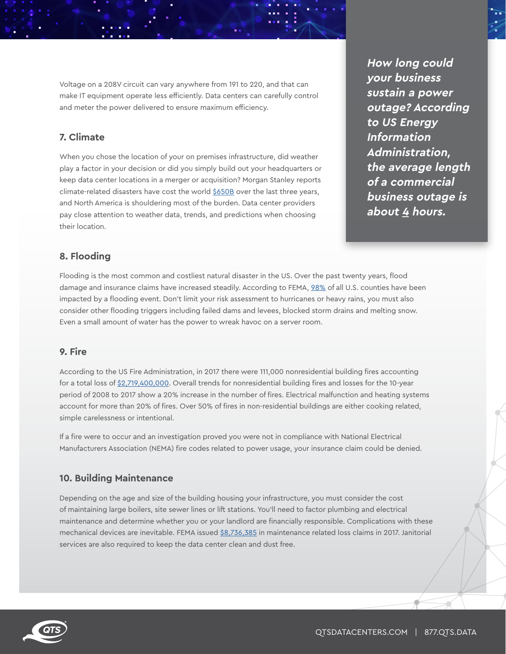Voltage on a 208V circuit can vary anywhere from 191 to 220, and that can make IT equipment operate less efficiently. Data centers can carefully control and meter the power delivered to ensure maximum efficiency.

# **7. Climate**

When you chose the location of your on premises infrastructure, did weather play a factor in your decision or did you simply build out your headquarters or keep data center locations in a merger or acquisition? Morgan Stanley reports climate-related disasters have cost the world \$650B over the last three years, and North America is shouldering most of the burden. Data center providers pay close attention to weather data, trends, and predictions when choosing their location.

**How long could your business sustain a power outage? According to US Energy Information Administration, the average length of a commercial business outage is about 4 hours.**

#### **8. Flooding**

Flooding is the most common and costliest natural disaster in the US. Over the past twenty years, flood damage and insurance claims have increased steadily. According to FEMA, 98% of all U.S. counties have been impacted by a flooding event. Don't limit your risk assessment to hurricanes or heavy rains, you must also consider other flooding triggers including failed dams and levees, blocked storm drains and melting snow. Even a small amount of water has the power to wreak havoc on a server room.

#### **9. Fire**

According to the US Fire Administration, in 2017 there were 111,000 nonresidential building fires accounting for a total loss of \$2,719,400,000. Overall trends for nonresidential building fires and losses for the 10-year period of 2008 to 2017 show a 20% increase in the number of fires. Electrical malfunction and heating systems account for more than 20% of fires. Over 50% of fires in non-residential buildings are either cooking related, simple carelessness or intentional.

If a fire were to occur and an investigation proved you were not in compliance with National Electrical Manufacturers Association (NEMA) fire codes related to power usage, your insurance claim could be denied.

#### **10. Building Maintenance**

Depending on the age and size of the building housing your infrastructure, you must consider the cost of maintaining large boilers, site sewer lines or lift stations. You'll need to factor plumbing and electrical maintenance and determine whether you or your landlord are financially responsible. Complications with these mechanical devices are inevitable. FEMA issued \$8,736,385 in maintenance related loss claims in 2017. Janitorial services are also required to keep the data center clean and dust free.

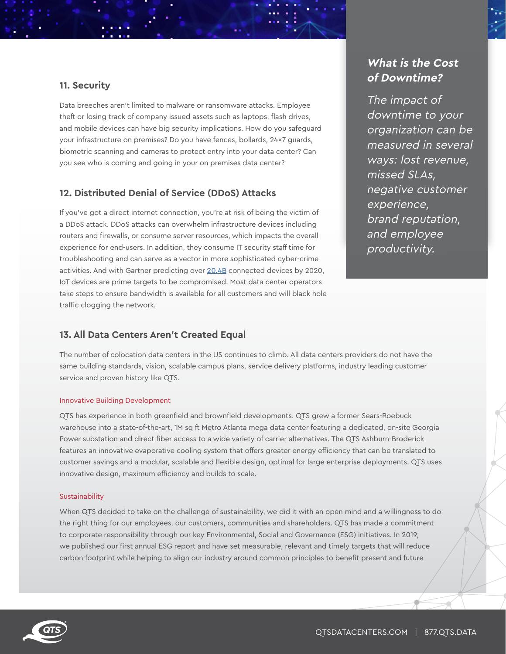#### **11. Security**

Data breeches aren't limited to malware or ransomware attacks. Employee theft or losing track of company issued assets such as laptops, flash drives, and mobile devices can have big security implications. How do you safeguard your infrastructure on premises? Do you have fences, bollards, 24x7 guards, biometric scanning and cameras to protect entry into your data center? Can you see who is coming and going in your on premises data center?

### **12. Distributed Denial of Service (DDoS) Attacks**

If you've got a direct internet connection, you're at risk of being the victim of a DDoS attack. DDoS attacks can overwhelm infrastructure devices including routers and firewalls, or consume server resources, which impacts the overall experience for end-users. In addition, they consume IT security staff time for troubleshooting and can serve as a vector in more sophisticated cyber-crime activities. And with Gartner predicting over 20.4B connected devices by 2020, IoT devices are prime targets to be compromised. Most data center operators take steps to ensure bandwidth is available for all customers and will black hole traffic clogging the network.

# **What is the Cost of Downtime?**

The impact of downtime to your organization can be measured in several ways: lost revenue, missed SLAs, negative customer experience, brand reputation, and employee productivity.

#### **13. All Data Centers Aren't Created Equal**

The number of colocation data centers in the US continues to climb. All data centers providers do not have the same building standards, vision, scalable campus plans, service delivery platforms, industry leading customer service and proven history like QTS.

#### Innovative Building Development

QTS has experience in both greenfield and brownfield developments. QTS grew a former Sears-Roebuck warehouse into a state-of-the-art, 1M sq ft Metro Atlanta mega data center featuring a dedicated, on-site Georgia Power substation and direct fiber access to a wide variety of carrier alternatives. The QTS Ashburn-Broderick features an innovative evaporative cooling system that offers greater energy efficiency that can be translated to customer savings and a modular, scalable and flexible design, optimal for large enterprise deployments. QTS uses innovative design, maximum efficiency and builds to scale.

#### Sustainability

When QTS decided to take on the challenge of sustainability, we did it with an open mind and a willingness to do the right thing for our employees, our customers, communities and shareholders. QTS has made a commitment to corporate responsibility through our key Environmental, Social and Governance (ESG) initiatives. In 2019, we published our first annual ESG report and have set measurable, relevant and timely targets that will reduce carbon footprint while helping to align our industry around common principles to benefit present and future